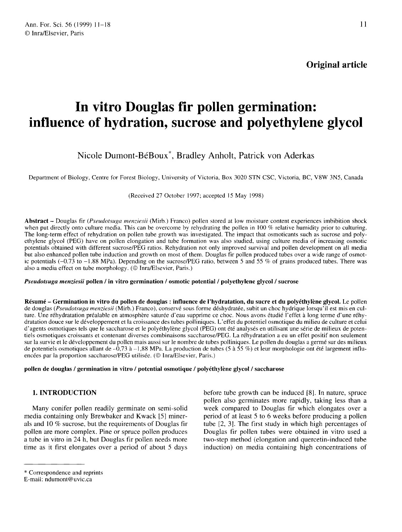$11$ 

Original article

# In vitro Douglas fir pollen germination: influence of hydration, sucrose and polyethylene glycol

# Nicole Dumont-BéBoux<sup>\*</sup>, Bradley Anholt, Patrick von Aderkas

Department of Biology, Centre for Forest Biology, University of Victoria, Box 3020 STN CSC, Victoria, BC, V8W 3N5, Canada

(Received 27 October 1997; accepted 15 May 1998)

Abstract - Douglas fir (Pseudotsuga menziesii (Mirb.) Franco) pollen stored at low moisture content experiences imbibition shock when put directly onto culture media. This can be overcome by rehydrating the pollen in 100 % relative humidity prior to culturing. The long-term effect of rehydration on pollen tube growth was investigated. The impact that osmoticants such as sucrose and polyethylene glycol (PEG) have on pollen elongation and tube formation was also studied, using culture media of increasing osmotic potentials obtained with different sucrose/PEG ratios. Rehydration not only improved survival and pollen development on all media but also enhanced pollen tube induction and growth on most of them. Douglas fir pollen produced tubes over a wide range of osmotic potentials  $(-0.73 \text{ to } -1.88 \text{ MPa})$ . Depending on the sucrose/PEG ratio, between 5 and 55 % of grains produced tubes. There was also a media effect on tube morphology. (© Inra/Elsevier, Paris.)

#### Pseudotsuga menziesii pollen / in vitro germination / osmotic potential / polyethylene glycol / sucrose

Résumé - Germination in vitro du pollen de douglas : influence de l'hydratation, du sucre et du polyéthylène glycol. Le pollen de douglas (Pseudotsuga menziesii (Mirb.) Franco), conservé sous forme déshydratée, subit un choc hydrique lorsqu'il est mis en culture. Une réhydratation préalable en atmosphère saturée d'eau supprime ce choc. Nous avons étudié l'effet à long terme d'une réhydratation douce sur le développement et la croissance des tubes polliniques. L'effet du potentiel osmotique du milieu de culture et celui d'agents osmotiques tels que le saccharose et le polyéthylène glycol (PEG) ont été analysés en utilisant une série de milieux de potentiels osmotiques croissants et contenant diverses combinaisons saccharose/PEG. La réhydratation a eu un effet positif non seulement sur la survie et le développement du pollen mais aussi sur le nombre de tubes polliniques. Le pollen du douglas a germé sur des milieux de potentiels osmotiques allant de  $-0.73$  à  $-1.88$  MPa. La production de tubes (5 à 55 %) et leur morphologie ont été largement influencées par la proportion saccharose/PEG utilisée. (© Inra/Elsevier, Paris.)

#### pollen de douglas / germination in vitro / potential osmotique / polyéthylène glycol / saccharose

## 1. INTRODUCTION

Many conifer pollen readily germinate on semi-solid media containing only Brewbaker and Kwack [5] minerals and 10 % sucrose, but the requirements of Douglas fir pollen are more complex. Pine or spruce pollen produces a tube in vitro in 24 h, but Douglas fir pollen needs more time as it first elongates over a period of about 5 days

before tube growth can be induced [8]. In nature, spruce pollen also germinates more rapidly, taking less than a week compared to Douglas fir which elongates over a period of at least 5 to 6 weeks before producing a pollen tube [2, 3]. The first study in which high percentages of Douglas fir pollen tubes were obtained in vitro used a two-step method (elongation and quercetin-induced tube induction) on media containing high concentrations of

<sup>\*</sup> Correspondence and reprints

E-mail: ndumont@uvic.ca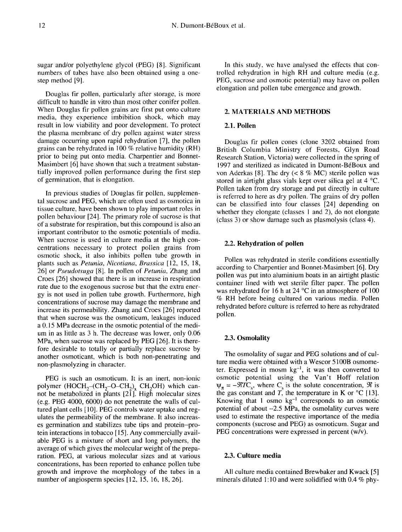sugar and/or polyethylene glycol (PEG) [8]. Significant numbers of tubes have also been obtained using a onestep method [9].

Douglas fir pollen, particularly after storage, is more difficult to handle in vitro than most other conifer pollen. When Douglas fir pollen grains are first put onto culture media, they experience imbibition shock, which may result in low viability and poor development. To protect the plasma membrane of dry pollen against water stress damage occurring upon rapid rehydration [7], the pollen grains can be rehydrated in 100 % relative humidity (RH) prior to being put onto media. Charpentier and Bonnet-Masimbert [6] have shown that such a treatment substantially improved pollen performance during the first step of germination, that is elongation.

In previous studies of Douglas fir pollen, supplemental sucrose and PEG, which are often used as osmotica in tissue culture, have been shown to play important roles in pollen behaviour [24]. The primary role of sucrose is that of a substrate for respiration, but this compound is also an important contributor to the osmotic potentials of media. When sucrose is used in culture media at the high concentrations necessary to protect pollen grains from osmotic shock, it also inhibits pollen tube growth in plants such as Petunia, Nicotiana, Brassica [12, 15, 18, 26] or Pseudotsuga [8]. In pollen of Petunia, Zhang and Croes [26] showed that there is an increase in respiration rate due to the exogenous sucrose but that the extra energy is not used in pollen tube growth. Furthermore, high concentrations of sucrose may damage the membrane and increase its permeability. Zhang and Croes [26] reported that when sucrose was the osmoticum, leakages induced a 0.15 MPa decrease in the osmotic potential of the medium in as little as 3 h. The decrease was lower, only 0.06 MPa, when sucrose was replaced by PEG [26]. It is therefore desirable to totally or partially replace sucrose by another osmoticant, which is both non-penetrating and non-plasmolyzing in character. gy is not used in ponent throe growth. Furthermore, ingit<br>concentrations of sucrose may damage the membrane and<br>increase its permeability. Zhang and Croes [26] reported<br>that when sucrose was the osmoticum, leakages induce

PEG is such an osmoticum. It is an inert, non-ionic<br>polymer  $(HOCH<sub>2</sub>-CCH<sub>2</sub>-O-CH<sub>2</sub>)$ . CH<sub>2</sub>OH) which cannot be metabolized in plants  $[21]$ . High molecular sizes (e.g. PEG 4000, 6000) do not penetrate the walls of cultured plant cells [10]. PEG controls water uptake and regulates the permeability of the membrane. It also increases germination and stabilizes tube tips and protein-protein interactions in tobacco [15]. Any commercially available PEG is a mixture of short and long polymers, the average of which gives the molecular weight of the preparation. PEG, at various molecular sizes and at various concentrations, has been reported to enhance pollen tube growth and improve the morphology of the tubes in a number of angiosperm species [12, 15, 16, 18, 26].

In this study, we have analysed the effects that controlled rehydration in high RH and culture media (e.g. PEG, sucrose and osmotic potential) may have on pollen elongation and pollen tube emergence and growth.

#### 2. MATERIALS AND METHODS

#### 2.1. Pollen

Douglas fir pollen cones (clone 3202 obtained from British Columbia Ministry of Forests, Glyn Road Research Station, Victoria) were collected in the spring of 1997 and sterilized as indicated in Dumont-BéBoux and von Aderkas [8]. The dry (< 8 % MC) sterile pollen was stored in airtight glass vials kept over silica gel at 4 °C. Pollen taken from dry storage and put directly in culture is referred to here as dry pollen. The grains of dry pollen can be classified into four classes [24] depending on whether they elongate (classes 1 and 2), do not elongate (class 3) or show damage such as plasmolysis (class 4).

### 2.2. Rehydration of pollen

Pollen was rehydrated in sterile conditions essentially according to Charpentier and Bonnet-Masimbert [6]. Dry pollen was put into aluminium boats in an airtight plastic was rehydrated for 16 h at 24  $^{\circ}$ C in an atmosphere of 100 % RH before being cultured on various media. Pollen rehydrated before culture is referred to here as rehydrated pollen.

#### 2.3. Osmolality

The osmolality of sugar and PEG solutions and of culture media were obtained with a Wescor 5100B osmometer. Expressed in mosm  $kg^{-1}$ , it was then converted to osmotic potential using the Van't Hoff relation  $\Psi_{\pi}$  =  $\cdot$ ture media were obtained with a wescor 3100B osmolie-<br>ter. Expressed in mosm kg<sup>-1</sup>, it was then converted to<br>osmotic potential using the Van't Hoff relation<br> $\Psi_{\pi} = -\mathcal{R}TC_s$ , where C<sub>s</sub> is the solute concentration,  $\math$ Knowing that  $1$  osmo  $kg^{-1}$  corresponds to an osmotic potential of about  $-2.5$  MPa, the osmolality curves were used to estimate the respective importance of the media components (sucrose and PEG) as osmoticum. Sugar and PEG concentrations were expressed in percent (w/v).

#### 2.3. Culture media

All culture media contained Brewbaker and Kwack [5] minerals diluted 1:10 and were solidified with 0.4 % phy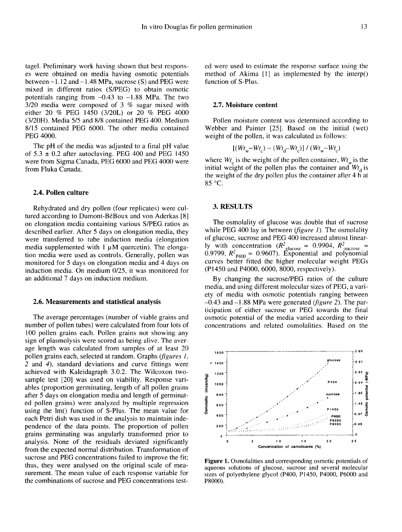tagel. Preliminary work having shown that best responses were obtained on media having osmotic potentials between  $-1.12$  and  $-1.48$  MPa, sucrose (S) and PEG were mixed in different ratios (S/PEG) to obtain osmotic potentials ranging from  $-0.43$  to  $-1.88$  MPa. The two 3/20 media were composed of 3 % sugar mixed with either 20 % PEG 1450 (3/20L) or 20 % PEG 4000 (3/20H). Media 5/5 and 8/8 contained PEG 400. Medium 8/15 contained PEG 6000. The other media contained PEG 4000.

The pH of the media was adjusted to a final pH value of  $5.3 \pm 0.2$  after autoclaving. PEG 400 and PEG 1450 were from Sigma Canada, PEG 6000 and PEG 4000 were from Fluka Canada.

#### 2.4. Pollen culture

Rehydrated and dry pollen (four replicates) were cultured according to Dumont-BéBoux and von Aderkas [8] on elongation media containing various S/PEG ratios as described earlier. After 5 days on elongation media, they were transferred to tube induction media (elongation media supplemented with 1 μM quercetin). The elongation media were used as controls. Generally, pollen was monitored for 5 days on elongation media and 4 days on induction media. On medium 0/25, it was monitored for an additional 7 days on induction medium.

#### 2.6. Measurements and statistical analysis

The average percentages (number of viable grains and number of pollen tubes) were calculated from four lots of 100 pollen grains each. Pollen grains not showing any sign of plasmolysis were scored as being alive. The average length was calculated from samples of at least 20 pollen grains each, selected at random. Graphs (figures 1, 2 and 4), standard deviations and curve fittings were achieved with Kaleidagraph 3.0.2. The Wilcoxon twosample test [20] was used on viability. Response variables (proportion germinating, length of all pollen grains after 5 days on elongation media and length of germinated pollen grains) were analyzed by multiple regression using the lm() function of S-Plus. The mean value for each Petri dish was used in the analysis to maintain independence of the data points. The proportion of pollen grains germinating was angularly transformed prior to analysis. None of the residuals deviated significantly from the expected normal distribution. Transformation of sucrose and PEG concentrations failed to improve the fit; thus, they were analysed on the original scale of measurement. The mean value of each response variable for the combinations of sucrose and PEG concentrations tested were used to estimate the response surface using the method of Akima [1] as implemented by the interp() function of S-Plus.

#### 2.7. Moisture content

Pollen moisture content was determined according to Webber and Painter [25]. Based on the initial (wet) weight of the pollen, it was calculated as follows: **2.7. Moisture content**<br>
Pollen moisture content was determined according to<br>
Webber and Painter [25]. Based on the initial (wet)<br>
weight of the pollen, it was calculated as follows:<br>  $[(Wt_w-Wt_c) - (Wt_d-Wt_c)] / (Wt_w-Wt_c)$ <br>
where

$$
[(Wt_w-Wt_c)-(Wt_d-Wt_c)]/(Wt_w-Wt_c)
$$

initial weight of the pollen plus the container and  $W_t$  is the weight of the dry pollen plus the container after 4 h at 85 °C.

#### 3. RESULTS

The osmolality of glucose was double that of sucrose while PEG 400 lay in between  $(figure I)$ . The osmolality of glucose, sucrose and PEG 400 increased almost linear-The osmolality of glucose was double that of sucrose<br>while PEG 400 lay in between (*figure 1*). The osmolality<br>of glucose, sucrose and PEG 400 increased almost linear-<br>ly with concentration ( $R^2_{\text{glucose}} = 0.9904$ ,  $R^2_{\text{$ of glucose, sucrose and PEG 400 increased almost linear-<br>ly with concentration  $(R_{\text{glucose}}^2 = 0.9904, R_{\text{surrose}}^2 = 0.9799, R_{\text{P400}}^2 = 0.9607)$ . Exponential and polynomial<br>curves better fitted the higher molecular weight PEG (P1450 and P4000, 6000, 8000, respectively).

By changing the sucrose/PEG ratios of the culture media, and using different molecular sizes of PEG, a variety of media with osmotic potentials ranging between  $-0.43$  and  $-1.88$  MPa were generated (*figure 2*). The participation of either sucrose or PEG towards the final osmotic potential of the media varied according to their concentrations and related osmolalities. Based on the



Figure 1. Osmolalities and corresponding osmotic potentials of aqueous solutions of glucose, sucrose and several molecular sizes of polyethylene glycol (P400, P1450, P4000, P6000 and P8000).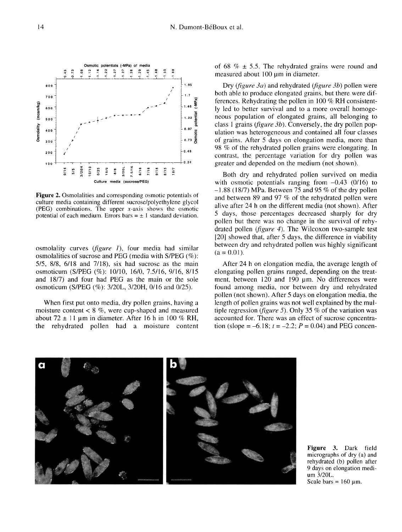

**Figure 2.** Osmolalities and corresponding osmotic potentials of culture media containing different sucrose/polyethylene glycol (PEG) combinations. The upper  $x$ -axis shows the osmotic potential of each medium. Errors bars =  $\pm$  1 standard deviation.

osmolality curves (figure I), four media had similar osmolalities of sucrose and PEG (media with S/PEG (%): 5/5, 8/8, 6/18 and 7/18), six had sucrose as the main osmoticum (S/PEG (%): 10/10, 16/0, 7.5/16, 9/16, 8/15 and 18/7) and four had PEG as the main or the sole osmoticum (S/PEG (%): 3/20L, 3/20H, 0/16 and 0/25).

When first put onto media, dry pollen grains, having a moisture content  $< 8\%$ , were cup-shaped and measured about  $72 \pm 11$  μm in diameter. After 16 h in 100 % RH, the rehydrated pollen had a moisture content of 68  $\% \pm 5.5$ . The rehydrated grains were round and measured about 100 μm in diameter.

Dry (figure 3a) and rehydrated (figure 3b) pollen were both able to produce elongated grains, but there were differences. Rehydrating the pollen in 100 % RH consistently led to better survival and to a more overall homoge neous population of elongated grains, all belonging to class 1 grains (figure  $3b$ ). Conversely, the dry pollen population was heterogeneous and contained all four classes of grains. After 5 days on elongation media, more than 98 % of the rehydrated pollen grains were elongating. In contrast, the percentage variation for dry pollen was greater and depended on the medium (not shown).

Both dry and rehydrated pollen survived on media with osmotic potentials ranging from  $-0.43$  (0/16) to  $-1.88$  (18/7) MPa. Between 75 and 95 % of the dry pollen and between 89 and 97 % of the rehydrated pollen were alive after 24 h on the different media (not shown). After 5 days, those percentages decreased sharply for dry pollen but there was no change in the survival of rehydrated pollen (figure 4). The Wilcoxon two-sample test [20] showed that, after 5 days, the difference in viability between dry and rehydrated pollen was highly significant  $(a = 0.01)$ .

After 24 h on elongation media, the average length of elongating pollen grains ranged, depending on the treatment, between 120 and 190 μm. No differences were found among media, nor between dry and rehydrated pollen (not shown). After 5 days on elongation media, the length of pollen grains was not well explained by the multiple regression (*figure 5*). Only 35 % of the variation was accounted for. There was an effect of sucrose concentration (slope =  $-6.18$ ;  $t = -2.2$ ;  $P = 0.04$ ) and PEG concen-



Figure 3. Dark field micrographs of dry (a) and rehydrated (b) pollen after 9 days on elongation medium 3/20L. Scale bars =  $160 \mu m$ .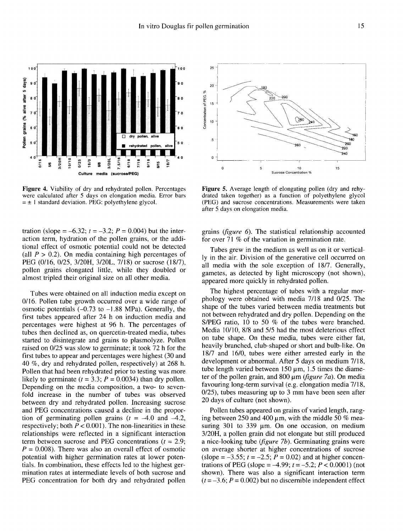

Figure 4. Viability of dry and rehydrated pollen. Percentages were calculated after 5 days on elongation media. Error bars  $= \pm 1$  standard deviation. PEG: polyethylene glycol.

tration (slope =  $-6.32$ ;  $t = -3.2$ ;  $P = 0.004$ ) but the interaction term, hydration of the pollen grains, or the additional effect of osmotic potential could not be detected (all  $P > 0.2$ ). On media containing high percentages of PEG (0/16, 0/25, 3/20H, 3/20L, 7/18) or sucrose (18/7), pollen grains elongated little, while they doubled or almost tripled their original size on all other media.

Tubes were obtained on all induction media except on 0/16. Pollen tube growth occurred over a wide range of osmotic potentials  $(-0.73 \text{ to } -1.88 \text{ MPa})$ . Generally, the first tubes appeared after 24 h on induction media and percentages were highest at 96 h. The percentages of tubes then declined as, on quercetin-treated media, tubes started to disintegrate and grains to plasmolyze. Pollen raised on 0/25 was slow to germinate; it took 72 h for the first tubes to appear and percentages were highest (30 and 40 %, dry and rehydrated pollen, respectively) at 268 h. Pollen that had been rehydrated prior to testing was more likely to germinate  $(t = 3.3; P = 0.0034)$  than dry pollen. Depending on the media composition, a two- to sevenfold increase in the number of tubes was observed between dry and rehydrated pollen. Increasing sucrose and PEG concentrations caused a decline in the proportion of germinating pollen grains  $(t = -4.0 \text{ and } -4.2)$ , respectively; both  $P < 0.001$ ). The non-linearities in these relationships were reflected in a significant interaction term between sucrose and PEG concentrations  $(t = 2.9)$ ;  $P = 0.008$ ). There was also an overall effect of osmotic potential with higher germination rates at lower potentials. In combination, these effects led to the highest germination rates at intermediate levels of both sucrose and PEG concentration for both dry and rehydrated pollen



Figure 5. Average length of elongating pollen (dry and rehydrated taken together) as a function of polyethylene glycol (PEG) and sucrose concentrations. Measurements were taken after 5 days on elongation media.

grains (figure 6). The statistical relationship accounted for over 71 % of the variation in germination rate.

Tubes grew in the medium as well as on it or vertically in the air. Division of the generative cell occurred on all media with the sole exception of 18/7. Generally, gametes, as detected by light microscopy (not shown), appeared more quickly in rehydrated pollen.

The highest percentage of tubes with a regular morphology were obtained with media 7/18 and 0/25. The shape of the tubes varied between media treatments but not between rehydrated and dry pollen. Depending on the S/PEG ratio, 10 to 50 % of the tubes were branched. Media 10/10, 8/8 and 5/5 had the most deleterious effect on tube shape. On these media, tubes were either fat, heavily branched, club-shaped or short and bulb-like. On 18/7 and 16/0, tubes were either arrested early in the development or abnormal. After 5 days on medium 7/18, tube length varied between 150 μm, 1.5 times the diameter of the pollen grain, and  $800 \mu m$  (figure 7a). On media favouring long-term survival (e.g. elongation media 7/18, 0/25), tubes measuring up to 3 mm have been seen after 20 days of culture (not shown).

Pollen tubes appeared on grains of varied length, ranging between 250 and 400 μm, with the middle 50 % measuring 301 to 339 μm. On one occasion, on medium 3/20H, a pollen grain did not elongate but still produced a nice-looking tube (figure 7b). Germinating grains were on average shorter at higher concentrations of sucrose (slope =  $-3.55$ ;  $t = -2.5$ ;  $P = 0.02$ ) and at higher concentrations of PEG (slope =  $-4.99$ ;  $t = -5.2$ ;  $P < 0.0001$ ) (not shown). There was also a significant interaction term  $(t = -3.6; P = 0.002)$  but no discernible independent effect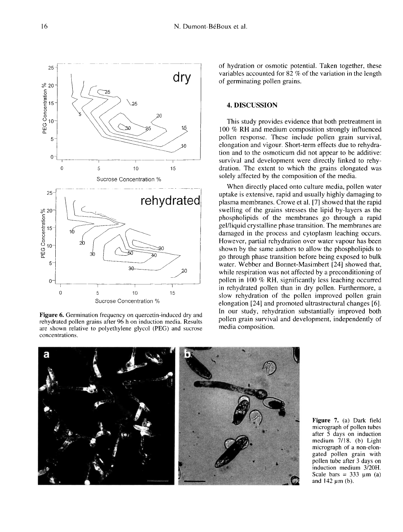$\mathbf 0$ 5  $10$ 15 Sucrose Concentration % Figure 6. Germination frequency on quercetin-induced dry and rehydrated pollen grains after 96 h on induction media. Results are shown relative to polyethylene glycol (PEG) and sucrose

concentrations.

of hydration or osmotic potential. Taken together, these variables accounted for 82 % of the variation in the length of germinating pollen grains.

#### 4. DISCUSSION

This study provides evidence that both pretreatment in 100 % RH and medium composition strongly influenced pollen response. These include pollen grain survival, elongation and vigour. Short-term effects due to rehydration and to the osmoticum did not appear to be additive: survival and development were directly linked to rehydration. The extent to which the grains elongated was solely affected by the composition of the media.

When directly placed onto culture media, pollen water uptake is extensive, rapid and usually highly damaging to plasma membranes. Crowe et al. [7] showed that the rapid swelling of the grains stresses the lipid by-layers as the phospholipids of the membranes go through a rapid gel/liquid crystalline phase transition. The membranes are damaged in the process and cytoplasm leaching occurs. However, partial rehydration over water vapour has been shown by the same authors to allow the phospholipids to go through phase transition before being exposed to bulk water. Webber and Bonnet-Masimbert [24] showed that, while respiration was not affected by a preconditioning of pollen in 100 % RH, significantly less leaching occurred in rehydrated pollen than in dry pollen. Furthermore, a slow rehydration of the pollen improved pollen grain elongation [24] and promoted ultrastructural changes [6]. In our study, rehydration substantially improved both pollen grain survival and development, independently of media composition.



Figure 7. (a) Dark field micrograph of pollen tubes after 5 days on induction medium 7/18. (b) Light micrograph of a non-elongated pollen grain with pollen tube after 3 days on induction medium 3/20H. Scale bars =  $333 \text{ um}$  (a) and  $142 \mu m$  (b).

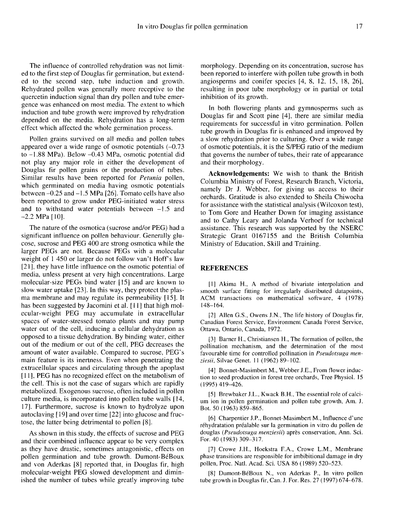The influence of controlled rehydration was not limited to the first step of Douglas fir germination, but extended to the second step, tube induction and growth. Rehydrated pollen was generally more receptive to the quercetin induction signal than dry pollen and tube emergence was enhanced on most media. The extent to which induction and tube growth were improved by rehydration depended on the media. Rehydration has a long-term effect which affected the whole germination process.

Pollen grains survived on all media and pollen tubes appeared over a wide range of osmotic potentials  $(-0.73)$ to -1.88 MPa). Below -0.43 MPa, osmotic potential did not play any major role in either the development of Douglas fir pollen grains or the production of tubes. Similar results have been reported for Petunia pollen, which germinated on media having osmotic potentials between -0.25 and -1.5 MPa [26]. Tomato cells have also been reported to grow under PEG-initiated water stress and to withstand water potentials between  $-1.5$  and  $-2.2$  MPa [10].

The nature of the osmotica (sucrose and/or PEG) had a significant influence on pollen behaviour. Generally glucose, sucrose and PEG 400 are strong osmotica while the larger PEGs are not. Because PEGs with a molecular weight of 1 450 or larger do not follow van't Hoff's law [21], they have little influence on the osmotic potential of media, unless present at very high concentrations. Large molecular-size PEGs bind water [15] and are known to slow water uptake [23]. In this way, they protect the plas- ma membrane and may regulate its permeability [15]. It has been suggested by Jacomini et al. [11] that high molecular-weight PEG may accumulate in extracellular spaces of water-stressed tomato plants and may pump water out of the cell, inducing a cellular dehydration as opposed to a tissue dehydration. By binding water, either out of the medium or out of the cell, PEG decreases the amount of water available. Compared to sucrose, PEG's main feature is its inertness. Even when penetrating the extracellular spaces and circulating through the apoplast [11], PEG has no recognized effect on the metabolism of the cell. This is not the case of sugars which are rapidly metabolized. Exogenous sucrose, often included in pollen culture media, is incorporated into pollen tube walls [14, 17]. Furthermore, sucrose is known to hydrolyze upon autoclaving [ 19] and over time [22] into glucose and fructose, the latter being detrimental to pollen [8].

As shown in this study, the effects of sucrose and PEG and their combined influence appear to be very complex as they have drastic, sometimes antagonistic, effects on pollen germination and tube growth. Dumont-BéBoux and von Aderkas [8] reported that, in Douglas fir, high molecular-weight PEG slowed development and diminished the number of tubes while greatly improving tube morphology. Depending on its concentration, sucrose has been reported to interfere with pollen tube growth in both angiosperms and conifer species [4, 8, 12, 15, 18, 26], resulting in poor tube morphology or in partial or total inhibition of its growth.

In both flowering plants and gymnosperms such as Douglas fir and Scott pine [4], there are similar media requirements for successful in vitro germination. Pollen tube growth in Douglas fir is enhanced and improved by a slow rehydration prior to culturing. Over a wide range of osmotic potentials, it is the S/PEG ratio of the medium that governs the number of tubes, their rate of appearance and their morphology.

Acknowledgements: We wish to thank the British Columbia Ministry of Forest, Research Branch, Victoria, namely Dr J. Webber, for giving us access to their orchards. Gratitude is also extended to Sheila Chiwocha for assistance with the statistical analysis (Wilcoxon test), to Tom Gore and Heather Down for imaging assistance and to Cathy Leary and Jolanda Verhoef for technical assistance. This research was supported by the NSERC Strategic Grant 0167155 and the British Columbia Ministry of Education, Skill and Training.

#### **REFERENCES**

[1] Akima H., A method of bivariate interpolation and smooth surface fitting for irregularly distributed datapoints, ACM transactions on mathematical software, 4 (1978) 148-164.

[2] Allen G.S., Owens J.N., The life history of Douglas fir, Canadian Forest Service, Environment Canada Forest Service, Ottawa, Ontario, Canada, 1972.

[3] Barner H., Christiansen H., The formation of pollen, the pollination mechanism, and the determination of the most favourable time for controlled pollination in *Pseudotsuga men*ziesii, Silvae Genet. 11 (1962) 89-102.

[4] Bonnet-Masimbert M., Webber J.E., From flower induction to seed production in forest tree orchards, Tree Physiol. 15 (1995) 419-426.

[5] Brewbaker J.L., Kwack B.H., The essential role of calcium ion in pollen germination and pollen tube growth, Am. J. Bot. 50 (1963) 859-865.

[6] Charpentier J.P., Bonnet-Masimbert M., Influence d'une réhydratation préalable sur la germination in vitro du pollen de douglas (Pseudotsuga menziesii) après conservation, Ann. Sci. For. 40 (1983) 309-317.

[7] Crowe J.H., Hoekstra F.A., Crowe L.M., Membrane phase transitions are responsible for imbibitional damage in dry pollen, Proc. Natl. Acad. Sci. USA 86 (1989) 520-523.

[8] Dumont-BéBoux N., von Aderkas P., In vitro pollen tube growth in Douglas fir, Can. J. For. Res. 27 (1997) 674-678.